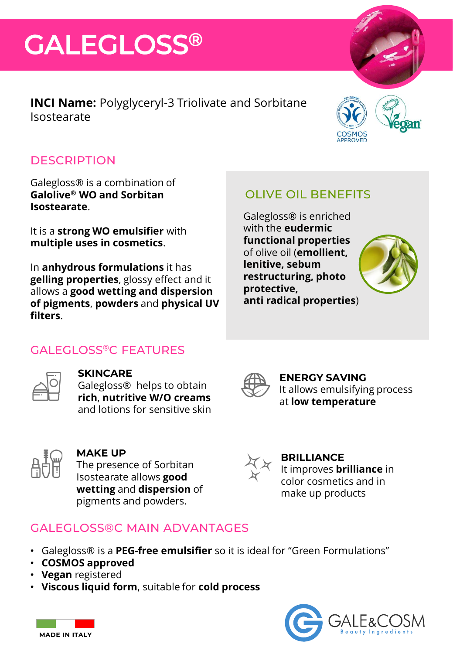## **GALEGLOSS®**

**INCI Name:** Polyglyceryl-3 Triolivate and Sorbitane Isostearate



### **DESCRIPTION**

Galegloss® is a combination of **Galolive® WO and Sorbitan Isostearate**.

It is a **strong WO emulsifier** with **multiple uses in cosmetics**.

GALEGLOSS®C FEATURES

**SKINCARE**

In **anhydrous formulations** it has **gelling properties**, glossy effect and it allows a **good wetting and dispersion of pigments**, **powders** and **physical UV filters**.

## OLIVE OIL BENEFITS

Galegloss® is enriched with the **eudermic functional properties**  of olive oil (**emollient, lenitive, sebum restructuring, photo protective, anti radical properties**)





#### **ENERGY SAVING** It allows emulsifying process at **low temperature**



### **MAKE UP**

The presence of Sorbitan Isostearate allows **good wetting** and **dispersion** of pigments and powders.

and lotions for sensitive skin



#### **BRILLIANCE** It improves **brilliance** in color cosmetics and in make up products

## GALEGLOSS®C MAIN ADVANTAGES

- Galegloss® is a **PEG-free emulsifier** so it is ideal for "Green Formulations"
- **COSMOS approved**
- **Vegan** registered
- **Viscous liquid form**, suitable for **cold process**